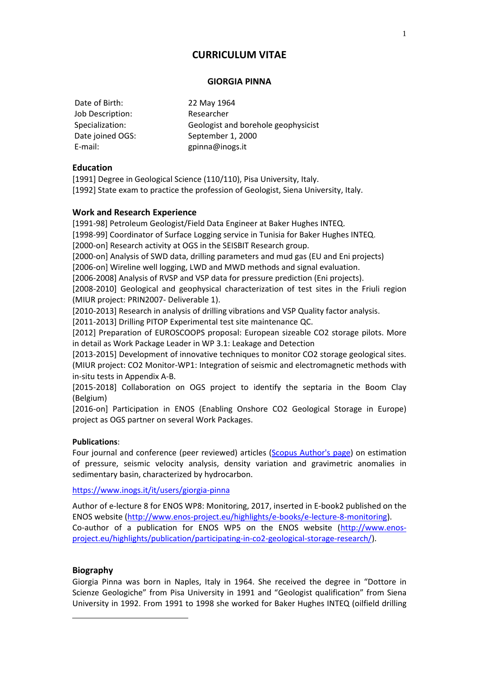# **CURRICULUM VITAE**

#### **GIORGIA PINNA**

Date of Birth: 22 May 1964 Job Description: Researcher Date joined OGS: September 1, 2000 E-mail: gpinna@inogs.it

Specialization: Geologist and borehole geophysicist

## **Education**

[1991] Degree in Geological Science (110/110), Pisa University, Italy. [1992] State exam to practice the profession of Geologist, Siena University, Italy.

### **Work and Research Experience**

[1991-98] Petroleum Geologist/Field Data Engineer at Baker Hughes INTEQ.

[1998-99] Coordinator of Surface Logging service in Tunisia for Baker Hughes INTEQ.

[2000-on] Research activity at OGS in the SEISBIT Research group.

[2000-on] Analysis of SWD data, drilling parameters and mud gas (EU and Eni projects)

[2006-on] Wireline well logging, LWD and MWD methods and signal evaluation.

[2006-2008] Analysis of RVSP and VSP data for pressure prediction (Eni projects).

[2008-2010] Geological and geophysical characterization of test sites in the Friuli region (MIUR project: PRIN2007- Deliverable 1).

[2010-2013] Research in analysis of drilling vibrations and VSP Quality factor analysis.

[2011-2013] Drilling PITOP Experimental test site maintenance QC.

[2012] Preparation of EUROSCOOPS proposal: European sizeable CO2 storage pilots. More in detail as Work Package Leader in WP 3.1: Leakage and Detection

[2013-2015] Development of innovative techniques to monitor CO2 storage geological sites. (MIUR project: CO2 Monitor-WP1: Integration of seismic and electromagnetic methods with in-situ tests in Appendix A-B.

[2015-2018] Collaboration on OGS project to identify the septaria in the Boom Clay (Belgium)

[2016-on] Participation in ENOS (Enabling Onshore CO2 Geological Storage in Europe) project as OGS partner on several Work Packages.

### **Publications**:

Four journal and conference (peer reviewed) articles [\(Scopus Author's page\)](http://www.scopus.com/results/results.url?sort=plf-f&src=s&st1=pinna&st2=giorgia&nlo=1&nlr=20&nls=&affilName=ogs&sid=C61EA51448CFA307C4679BE98EDFD01F.kqQeWtawXauCyC8ghhRGJg%3A530&sot=anl&sdt=cl&cluster=scosubtype%2C%22cp%22%2Cf&sl=35&s=AU-ID%28%22Pinna%2C%20Giorgia%22%2015136777600%29&origin=resultslist&zone=leftSideBar&txGid=C61EA51448CFA307C4679BE98EDFD01F.kqQeWtawXauCyC8ghhRGJg%3A53) on estimation of pressure, seismic velocity analysis, density variation and gravimetric anomalies in sedimentary basin, characterized by hydrocarbon.

<https://www.inogs.it/it/users/giorgia-pinna>

Author of e-lecture 8 for ENOS WP8: Monitoring, 2017, inserted in E-book2 published on the ENOS website [\(http://www.enos-project.eu/highlights/e-books/e-lecture-8-monitoring\)](http://www.enos-project.eu/highlights/e-books/e-lecture-8-monitoring). Co-author of a publication for ENOS WP5 on the ENOS website [\(http://www.enos](http://www.enos-project.eu/highlights/publication/participating-in-co2-geological-storage-research/)[project.eu/highlights/publication/participating-in-co2-geological-storage-research/\)](http://www.enos-project.eu/highlights/publication/participating-in-co2-geological-storage-research/).

### **Biography**

-

Giorgia Pinna was born in Naples, Italy in 1964. She received the degree in "Dottore in Scienze Geologiche" from Pisa University in 1991 and "Geologist qualification" from Siena University in 1992. From 1991 to 1998 she worked for Baker Hughes INTEQ (oilfield drilling